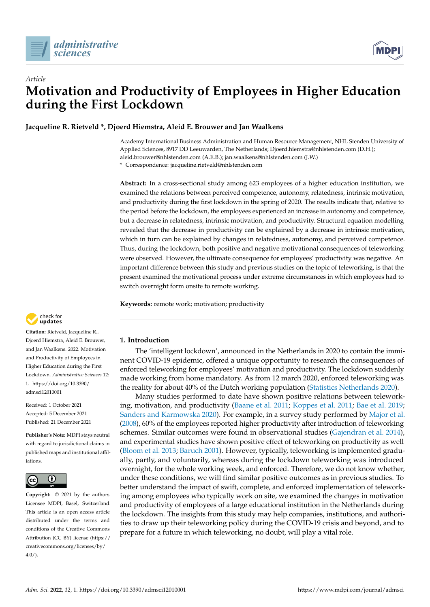



# *Article* **Motivation and Productivity of Employees in Higher Education during the First Lockdown**

**Jacqueline R. Rietveld \*, Djoerd Hiemstra, Aleid E. Brouwer and Jan Waalkens**

Academy International Business Administration and Human Resource Management, NHL Stenden University of Applied Sciences, 8917 DD Leeuwarden, The Netherlands; Djoerd.hiemstra@nhlstenden.com (D.H.); aleid.brouwer@nhlstenden.com (A.E.B.); jan.waalkens@nhlstenden.com (J.W.)

**\*** Correspondence: jacqueline.rietveld@nhlstenden.com

**Abstract:** In a cross-sectional study among 623 employees of a higher education institution, we examined the relations between perceived competence, autonomy, relatedness, intrinsic motivation, and productivity during the first lockdown in the spring of 2020. The results indicate that, relative to the period before the lockdown, the employees experienced an increase in autonomy and competence, but a decrease in relatedness, intrinsic motivation, and productivity. Structural equation modelling revealed that the decrease in productivity can be explained by a decrease in intrinsic motivation, which in turn can be explained by changes in relatedness, autonomy, and perceived competence. Thus, during the lockdown, both positive and negative motivational consequences of teleworking were observed. However, the ultimate consequence for employees' productivity was negative. An important difference between this study and previous studies on the topic of teleworking, is that the present examined the motivational process under extreme circumstances in which employees had to switch overnight form onsite to remote working.

**Keywords:** remote work; motivation; productivity



**Citation:** Rietveld, Jacqueline R., Djoerd Hiemstra, Aleid E. Brouwer, and Jan Waalkens. 2022. Motivation and Productivity of Employees in Higher Education during the First Lockdown. *Administrative Sciences* 12: 1. [https://doi.org/10.3390/](https://doi.org/10.3390/admsci12010001) [admsci12010001](https://doi.org/10.3390/admsci12010001)

Received: 1 October 2021 Accepted: 5 December 2021 Published: 21 December 2021

**Publisher's Note:** MDPI stays neutral with regard to jurisdictional claims in published maps and institutional affiliations.



**Copyright:** © 2021 by the authors. Licensee MDPI, Basel, Switzerland. This article is an open access article distributed under the terms and conditions of the Creative Commons Attribution (CC BY) license [\(https://](https://creativecommons.org/licenses/by/4.0/) [creativecommons.org/licenses/by/](https://creativecommons.org/licenses/by/4.0/)  $4.0/$ ).

# **1. Introduction**

The 'intelligent lockdown', announced in the Netherlands in 2020 to contain the imminent COVID-19 epidemic, offered a unique opportunity to research the consequences of enforced teleworking for employees' motivation and productivity. The lockdown suddenly made working from home mandatory. As from 12 march 2020, enforced teleworking was the reality for about 40% of the Dutch working population [\(Statistics Netherlands](#page-9-0) [2020\)](#page-9-0).

Many studies performed to date have shown positive relations between teleworking, motivation, and productivity [\(Baane et al.](#page-8-0) [2011;](#page-8-0) [Koppes et al.](#page-9-1) [2011;](#page-9-1) [Bae et al.](#page-8-1) [2019;](#page-8-1) [Sanders and Karmowska](#page-9-2) [2020\)](#page-9-2). For example, in a survey study performed by [Major et al.](#page-9-3) [\(2008\)](#page-9-3), 60% of the employees reported higher productivity after introduction of teleworking schemes. Similar outcomes were found in observational studies [\(Gajendran et al.](#page-9-4) [2014\)](#page-9-4), and experimental studies have shown positive effect of teleworking on productivity as well [\(Bloom et al.](#page-8-2) [2013;](#page-8-2) [Baruch](#page-8-3) [2001\)](#page-8-3). However, typically, teleworking is implemented gradually, partly, and voluntarily, whereas during the lockdown teleworking was introduced overnight, for the whole working week, and enforced. Therefore, we do not know whether, under these conditions, we will find similar positive outcomes as in previous studies. To better understand the impact of swift, complete, and enforced implementation of teleworking among employees who typically work on site, we examined the changes in motivation and productivity of employees of a large educational institution in the Netherlands during the lockdown. The insights from this study may help companies, institutions, and authorities to draw up their teleworking policy during the COVID-19 crisis and beyond, and to prepare for a future in which teleworking, no doubt, will play a vital role.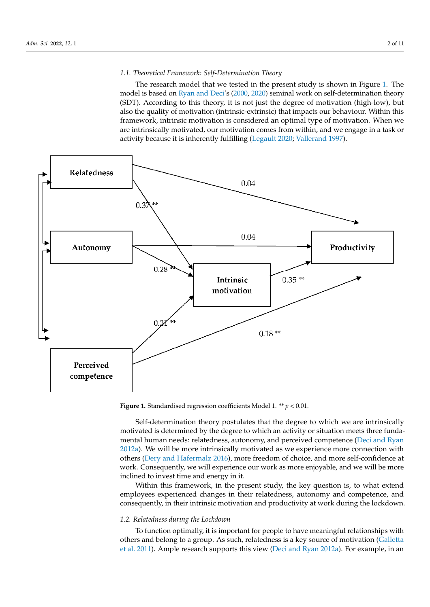# 1.1. Theoretical Framework: Self-Determination Theory damental human needs: relatedness, autonomy, and perceived competence (Deci and

<span id="page-1-0"></span>The research model that we tested in the present study is shown in Figure 1. The model is based on Ryan and Deci's [\(2000,](#page-9-5) 2020) seminal work on self-determination theory (SDT). According to this theory, it is not just the degree of motivation (high-low), but also the quality of motivation (intrinsic-extrinsic) that impacts our behaviour. Within this framework, intrinsic motivation is considered an optimal type of motivation. When we are intrinsically motivated, our motivation comes from within, and we engage in a task or activity because it is inherently fulfilling [\(Legault](#page-9-7) [2020;](#page-9-7) [Vallerand](#page-10-0) [1997\)](#page-10-0).



**Figure 1.** Standardised regression coefficients Model 1. \*\*  $p$  < 0.01.

Self-determination theory postulates that the degree to which we are intrinsically motivated is determined by the degree to which an activity or situation meets three fundamental human needs: relatedness, autonomy, and perceived competence [\(Deci and Ryan](#page-8-4) [2012a\)](#page-8-4). We will be more intrinsically motivated as we experience more connection with others [\(Dery and Hafermalz](#page-8-5) [2016\)](#page-8-5), more freedom of choice, and more self-confidence at work. Consequently, we will experience our work as more enjoyable, and we will be more inclined to invest time and energy in it.

Within this framework, in the present study, the key question is, to what extend employees experienced changes in their relatedness, autonomy and competence, and consequently, in their intrinsic motivation and productivity at work during the lockdown.

### *1.2. Relatedness during the Lockdown*

To function optimally, it is important for people to have meaningful relationships with others and belong to a group. As such, relatedness is a key source of motivation [\(Galletta](#page-9-8) [et al.](#page-9-8) [2011\)](#page-9-8). Ample research supports this view [\(Deci and Ryan](#page-8-4) [2012a\)](#page-8-4). For example, in an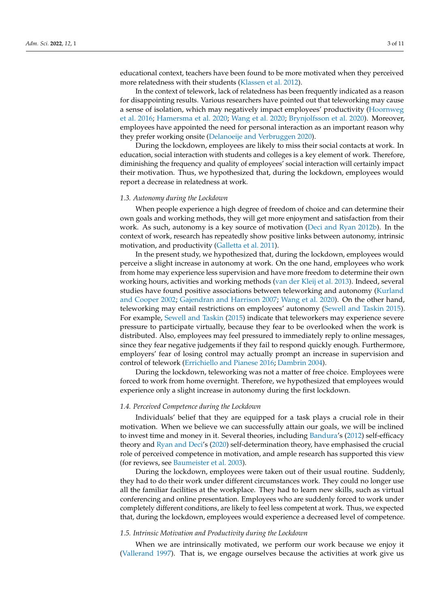educational context, teachers have been found to be more motivated when they perceived more relatedness with their students [\(Klassen et al.](#page-9-9) [2012\)](#page-9-9).

In the context of telework, lack of relatedness has been frequently indicated as a reason for disappointing results. Various researchers have pointed out that teleworking may cause a sense of isolation, which may negatively impact employees' productivity [\(Hoornweg](#page-9-10) [et al.](#page-9-10) [2016;](#page-9-10) [Hamersma et al.](#page-9-11) [2020;](#page-9-11) [Wang et al.](#page-10-1) [2020;](#page-10-1) [Brynjolfsson et al.](#page-8-6) [2020\)](#page-8-6). Moreover, employees have appointed the need for personal interaction as an important reason why they prefer working onsite [\(Delanoeije and Verbruggen](#page-8-7) [2020\)](#page-8-7).

During the lockdown, employees are likely to miss their social contacts at work. In education, social interaction with students and colleges is a key element of work. Therefore, diminishing the frequency and quality of employees' social interaction will certainly impact their motivation. Thus, we hypothesized that, during the lockdown, employees would report a decrease in relatedness at work.

#### *1.3. Autonomy during the Lockdown*

When people experience a high degree of freedom of choice and can determine their own goals and working methods, they will get more enjoyment and satisfaction from their work. As such, autonomy is a key source of motivation [\(Deci and Ryan](#page-8-8) [2012b\)](#page-8-8). In the context of work, research has repeatedly show positive links between autonomy, intrinsic motivation, and productivity [\(Galletta et al.](#page-9-8) [2011\)](#page-9-8).

In the present study, we hypothesized that, during the lockdown, employees would perceive a slight increase in autonomy at work. On the one hand, employees who work from home may experience less supervision and have more freedom to determine their own working hours, activities and working methods [\(van der Kleij et al.](#page-10-2) [2013\)](#page-10-2). Indeed, several studies have found positive associations between teleworking and autonomy [\(Kurland](#page-9-12) [and Cooper](#page-9-12) [2002;](#page-9-12) [Gajendran and Harrison](#page-9-13) [2007;](#page-9-13) [Wang et al.](#page-10-1) [2020\)](#page-10-1). On the other hand, teleworking may entail restrictions on employees' autonomy [\(Sewell and Taskin](#page-9-14) [2015\)](#page-9-14). For example, [Sewell and Taskin](#page-9-14) [\(2015\)](#page-9-14) indicate that teleworkers may experience severe pressure to participate virtually, because they fear to be overlooked when the work is distributed. Also, employees may feel pressured to immediately reply to online messages, since they fear negative judgements if they fail to respond quickly enough. Furthermore, employers' fear of losing control may actually prompt an increase in supervision and control of telework [\(Errichiello and Pianese](#page-9-15) [2016;](#page-9-15) [Dambrin](#page-8-9) [2004\)](#page-8-9).

During the lockdown, teleworking was not a matter of free choice. Employees were forced to work from home overnight. Therefore, we hypothesized that employees would experience only a slight increase in autonomy during the first lockdown.

#### *1.4. Perceived Competence during the Lockdown*

Individuals' belief that they are equipped for a task plays a crucial role in their motivation. When we believe we can successfully attain our goals, we will be inclined to invest time and money in it. Several theories, including [Bandura'](#page-8-10)s [\(2012\)](#page-8-10) self-efficacy theory and [Ryan and Deci'](#page-9-6)s [\(2020\)](#page-9-6) self-determination theory, have emphasised the crucial role of perceived competence in motivation, and ample research has supported this view (for reviews, see [Baumeister et al.](#page-8-11) [2003\)](#page-8-11).

During the lockdown, employees were taken out of their usual routine. Suddenly, they had to do their work under different circumstances work. They could no longer use all the familiar facilities at the workplace. They had to learn new skills, such as virtual conferencing and online presentation. Employees who are suddenly forced to work under completely different conditions, are likely to feel less competent at work. Thus, we expected that, during the lockdown, employees would experience a decreased level of competence.

## *1.5. Intrinsic Motivation and Productivity during the Lockdown*

When we are intrinsically motivated, we perform our work because we enjoy it [\(Vallerand](#page-10-0) [1997\)](#page-10-0). That is, we engage ourselves because the activities at work give us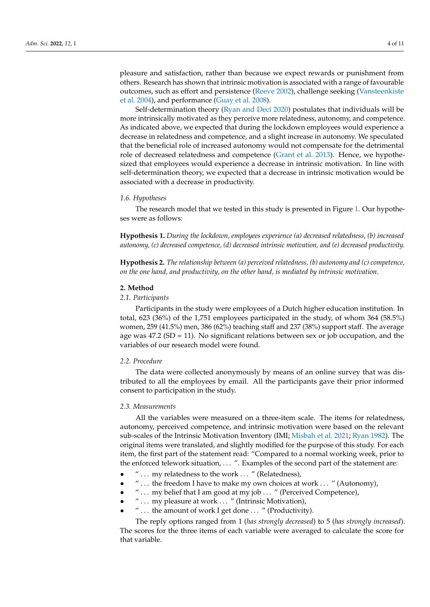pleasure and satisfaction, rather than because we expect rewards or punishment from others. Research has shown that intrinsic motivation is associated with a range of favourable outcomes, such as effort and persistence [\(Reeve](#page-9-16) [2002\)](#page-9-16), challenge seeking [\(Vansteenkiste](#page-10-3) [et al.](#page-10-3) [2004\)](#page-10-3), and performance [\(Guay et al.](#page-9-17) [2008\)](#page-9-17).

Self-determination theory [\(Ryan and Deci](#page-9-6) [2020\)](#page-9-6) postulates that individuals will be more intrinsically motivated as they perceive more relatedness, autonomy, and competence. As indicated above, we expected that during the lockdown employees would experience a decrease in relatedness and competence, and a slight increase in autonomy. We speculated that the beneficial role of increased autonomy would not compensate for the detrimental role of decreased relatedness and competence [\(Grant et al.](#page-9-18) [2013\)](#page-9-18). Hence, we hypothesized that employees would experience a decrease in intrinsic motivation. In line with self-determination theory, we expected that a decrease in intrinsic motivation would be associated with a decrease in productivity.

#### *1.6. Hypotheses*

The research model that we tested in this study is presented in Figure [1.](#page-1-0) Our hypotheses were as follows:

**Hypothesis 1.** *During the lockdown, employees experience (a) decreased relatedness, (b) increased autonomy, (c) decreased competence, (d) decreased intrinsic motivation, and (e) decreased productivity.*

**Hypothesis 2.** *The relationship between (a) perceived relatedness, (b) autonomy and (c) competence, on the one hand, and productivity, on the other hand, is mediated by intrinsic motivation*.

## **2. Method**

## *2.1. Participants*

Participants in the study were employees of a Dutch higher education institution. In total, 623 (36%) of the 1,751 employees participated in the study, of whom 364 (58.5%) women, 259 (41.5%) men, 386 (62%) teaching staff and 237 (38%) support staff. The average age was  $47.2$  (SD = 11). No significant relations between sex or job occupation, and the variables of our research model were found.

## *2.2. Procedure*

The data were collected anonymously by means of an online survey that was distributed to all the employees by email. All the participants gave their prior informed consent to participation in the study.

## *2.3. Measurements*

All the variables were measured on a three-item scale. The items for relatedness, autonomy, perceived competence, and intrinsic motivation were based on the relevant sub-scales of the Intrinsic Motivation Inventory (IMI; [Misbah et al.](#page-9-19) [2021;](#page-9-19) [Ryan](#page-9-20) [1982\)](#page-9-20). The original items were translated, and slightly modified for the purpose of this study. For each item, the first part of the statement read: "Compared to a normal working week, prior to the enforced telework situation, . . . ". Examples of the second part of the statement are:

- " ... my relatedness to the work ... " (Relatedness),
- " . . . the freedom I have to make my own choices at work . . . " (Autonomy),
- " ... my belief that I am good at my job ... " (Perceived Competence),
- $" \ldots$  my pleasure at work  $\ldots$  " (Intrinsic Motivation),
- " . . . the amount of work I get done . . . " (Productivity).

The reply options ranged from 1 (*has strongly decreased*) to 5 (*has strongly increased*). The scores for the three items of each variable were averaged to calculate the score for that variable.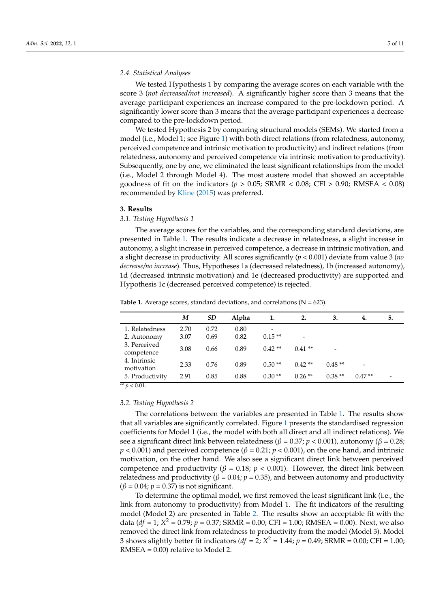We tested Hypothesis 1 by comparing the average scores on each variable with the score 3 (*not decreased/not increased*). A significantly higher score than 3 means that the average participant experiences an increase compared to the pre-lockdown period. A significantly lower score than 3 means that the average participant experiences a decrease compared to the pre-lockdown period.

We tested Hypothesis 2 by comparing structural models (SEMs). We started from a model (i.e., Model 1; see Figure [1\)](#page-1-0) with both direct relations (from relatedness, autonomy, perceived competence and intrinsic motivation to productivity) and indirect relations (from relatedness, autonomy and perceived competence via intrinsic motivation to productivity). Subsequently, one by one, we eliminated the least significant relationships from the model (i.e., Model 2 through Model 4). The most austere model that showed an acceptable goodness of fit on the indicators (*p >* 0.05; SRMR < 0.08; CFI > 0.90; RMSEA < 0.08) recommended by [Kline](#page-9-21) [\(2015\)](#page-9-21) was preferred.

#### **3. Results**

## *3.1. Testing Hypothesis 1*

The average scores for the variables, and the corresponding standard deviations, are presented in Table [1.](#page-4-0) The results indicate a decrease in relatedness, a slight increase in autonomy, a slight increase in perceived competence, a decrease in intrinsic motivation, and a slight decrease in productivity. All scores significantly (*p* < 0.001) deviate from value 3 (*no decrease/no increase*). Thus, Hypotheses 1a (decreased relatedness), 1b (increased autonomy), 1d (decreased intrinsic motivation) and 1e (decreased productivity) are supported and Hypothesis 1c (decreased perceived competence) is rejected.

|                            | M    | <b>SD</b> | Alpha | 1.                       | 2.       | 3.       | 4.                       | 5. |
|----------------------------|------|-----------|-------|--------------------------|----------|----------|--------------------------|----|
| 1. Relatedness             | 2.70 | 0.72      | 0.80  | $\overline{\phantom{a}}$ |          |          |                          |    |
| 2. Autonomy                | 3.07 | 0.69      | 0.82  | $0.15**$                 | -        |          |                          |    |
| 3. Perceived<br>competence | 3.08 | 0.66      | 0.89  | $0.42**$                 | $0.41**$ |          |                          |    |
| 4. Intrinsic<br>motivation | 2.33 | 0.76      | 0.89  | $0.50**$                 | $0.42**$ | $0.48**$ | $\overline{\phantom{a}}$ |    |
| 5. Productivity            | 2.91 | 0.85      | 0.88  | $0.30**$                 | $0.26**$ | $0.38**$ | $0.47**$                 | -  |

<span id="page-4-0"></span>**Table 1.** Average scores, standard deviations, and correlations ( $N = 623$ ).

 $\sqrt{p}$  × 0.01.

#### *3.2. Testing Hypothesis 2*

The correlations between the variables are presented in Table [1.](#page-4-0) The results show that all variables are significantly correlated. Figure [1](#page-1-0) presents the standardised regression coefficients for Model 1 (i.e., the model with both all direct and all indirect relations). We see a significant direct link between relatedness ( $β = 0.37$ ;  $p < 0.001$ ), autonomy ( $β = 0.28$ ; *p* < 0.001) and perceived competence (*β* = 0.21; *p* < 0.001), on the one hand, and intrinsic motivation, on the other hand. We also see a significant direct link between perceived competence and productivity ( $β = 0.18$ ;  $p < 0.001$ ). However, the direct link between relatedness and productivity ( $\beta$  = 0.04;  $p$  = 0.35), and between autonomy and productivity  $(\beta = 0.04; \, p = 0.37)$  is not significant.

To determine the optimal model, we first removed the least significant link (i.e., the link from autonomy to productivity) from Model 1. The fit indicators of the resulting model (Model 2) are presented in Table [2.](#page-5-0) The results show an acceptable fit with the data ( $df = 1$ ;  $X^2 = 0.79$ ;  $p = 0.37$ ; SRMR = 0.00; CFI = 1.00; RMSEA = 0.00). Next, we also removed the direct link from relatedness to productivity from the model (Model 3). Model 3 shows slightly better fit indicators  $(df = 2; X^2 = 1.44; p = 0.49; SRMR = 0.00; CFI = 1.00;$ RMSEA = 0.00) relative to Model 2.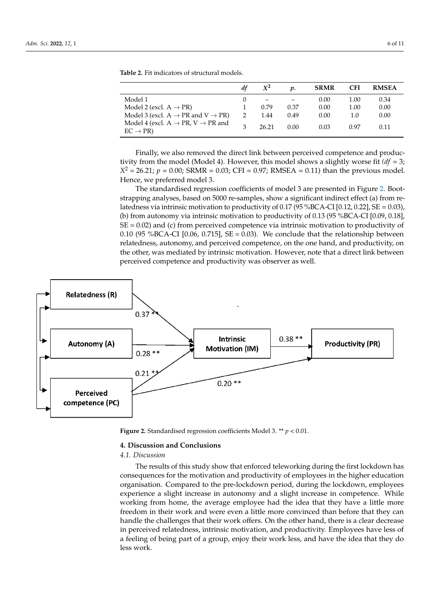|                                                                                     | $X^2$ | υ.   | <b>SRMR</b> | <b>CFI</b> | <b>RMSEA</b> |
|-------------------------------------------------------------------------------------|-------|------|-------------|------------|--------------|
| Model 1                                                                             |       |      | 0.00        | 1.00       | 0.34         |
| Model 2 (excl. $A \rightarrow PR$ )                                                 | 0.79  | 0.37 | 0.00        | 1.00       | 0.00         |
| Model 3 (excl. $A \rightarrow PR$ and $V \rightarrow PR$ )                          | 1.44  | 0.49 | 0.00        | 1.0        | 0.00         |
| Model 4 (excl. $A \rightarrow PR$ , $V \rightarrow PR$ and<br>$EC \rightarrow PR$ ) | 26.21 | 0.00 | 0.03        | በ 97       | 0.11         |

<span id="page-5-0"></span>**Table 2.** Fit indicators of structural models. *df X***<sup>2</sup>** *p.* **SRMR CFI RMSEA**

Finally, we also removed the direct link between perceived competence and produc-Finally, we also removed the direct link between perceived competence and productivity from the model (Model 4). However, this model shows a slightly worse fit *(df* = 3; tivity from the model (Model 4). However, this model shows a slightly worse fit *(df* = 3; *X*<sup>2</sup>  $X^2 = 26.21; p = 0.00; SRMR = 0.03; CFI = 0.97; RMSEA = 0.11)$  than the previous model. Hence, we preferred model 3. we preferred model 3.

<span id="page-5-1"></span>The standardised regression coefficients of model 3 are presented in Figure [2.](#page-5-1) Boot-The standardised regression coefficients of model 3 are presented in Figure 2. Bootstrapping analyses, based on 5000 re-samples, show a significant indirect effect (a) from re-strapping analyses, based on 5000 re-samples, show a significant indirect effect (a) from latedness via intrinsic motivation to productivity of 0.17 (95 %BCA-CI [0.12, 0.22], SE = 0.03), (b) from autonomy via intrinsic motivation to productivity of 0.13 (95 %BCA-CI  $[0.09, 0.18]$ ,  $SE = 0.02$ ) and (c) from perceived competence via intrinsic motivation to productivity of 0.10 (95 %BCA-CI [0.06, 0.715], SE = 0.03). We conclude that the relationship between relatedness, autonomy, and perceived competence, on the one hand, and productivity, on relatedness, autonomy, and perceived competence, on the one hand, and productivity, on the other, was mediated by intrinsic motivation. However, note that a direct link between the other, was mediated by intrinsic motivation. However, note that a direct link between perceived competence and productivity was observer as well. perceived competence and productivity was observer as well.



**Figure 2.** Standardised regression coefficients Model 3.  $**$   $p < 0.01$ .

## **4. Discussion and Conclusions**

## *4.1. Discussion*

The results of this study show that enforced teleworking during the first lockdown has consequences for the motivation and productivity of employees in the higher education organisation. Compared to the pre-lockdown period, during the lockdown, employees experience a slight increase in autonomy and a slight increase in competence. While working from home, the average employee had the idea that they have a little more freedom in their work and were even a little more convinced than before that they can handle the challenges that their work offers. On the other hand, there is a clear decrease in perceived relatedness, intrinsic motivation, and productivity. Employees have less of a feeling of being part of a group, enjoy their work less, and have the idea that they do less work.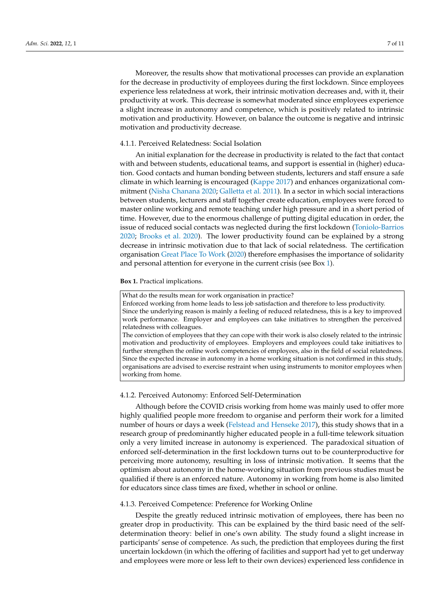Moreover, the results show that motivational processes can provide an explanation for the decrease in productivity of employees during the first lockdown. Since employees experience less relatedness at work, their intrinsic motivation decreases and, with it, their productivity at work. This decrease is somewhat moderated since employees experience a slight increase in autonomy and competence, which is positively related to intrinsic motivation and productivity. However, on balance the outcome is negative and intrinsic motivation and productivity decrease.

#### 4.1.1. Perceived Relatedness: Social Isolation

An initial explanation for the decrease in productivity is related to the fact that contact with and between students, educational teams, and support is essential in (higher) education. Good contacts and human bonding between students, lecturers and staff ensure a safe climate in which learning is encouraged [\(Kappe](#page-9-22) [2017\)](#page-9-22) and enhances organizational commitment [\(Nisha Chanana](#page-9-23) [2020;](#page-9-23) [Galletta et al.](#page-9-8) [2011\)](#page-9-8). In a sector in which social interactions between students, lecturers and staff together create education, employees were forced to master online working and remote teaching under high pressure and in a short period of time. However, due to the enormous challenge of putting digital education in order, the issue of reduced social contacts was neglected during the first lockdown [\(Toniolo-Barrios](#page-9-24) [2020;](#page-9-24) [Brooks et al.](#page-8-12) [2020\)](#page-8-12). The lower productivity found can be explained by a strong decrease in intrinsic motivation due to that lack of social relatedness. The certification organisation [Great Place To Work](#page-9-25) [\(2020\)](#page-9-25) therefore emphasises the importance of solidarity and personal attention for everyone in the current crisis (see Box [1\)](#page-6-0).

#### <span id="page-6-0"></span>**Box 1.** Practical implications.

What do the results mean for work organisation in practice? Enforced working from home leads to less job satisfaction and therefore to less productivity. Since the underlying reason is mainly a feeling of reduced relatedness, this is a key to improved work performance. Employer and employees can take initiatives to strengthen the perceived relatedness with colleagues. The conviction of employees that they can cope with their work is also closely related to the intrinsic motivation and productivity of employees. Employers and employees could take initiatives to further strengthen the online work competencies of employees, also in the field of social relatedness. Since the expected increase in autonomy in a home working situation is not confirmed in this study, organisations are advised to exercise restraint when using instruments to monitor employees when working from home.

#### 4.1.2. Perceived Autonomy: Enforced Self-Determination

Although before the COVID crisis working from home was mainly used to offer more highly qualified people more freedom to organise and perform their work for a limited number of hours or days a week [\(Felstead and Henseke](#page-9-26) [2017\)](#page-9-26), this study shows that in a research group of predominantly higher educated people in a full-time telework situation only a very limited increase in autonomy is experienced. The paradoxical situation of enforced self-determination in the first lockdown turns out to be counterproductive for perceiving more autonomy, resulting in loss of intrinsic motivation. It seems that the optimism about autonomy in the home-working situation from previous studies must be qualified if there is an enforced nature. Autonomy in working from home is also limited for educators since class times are fixed, whether in school or online.

#### 4.1.3. Perceived Competence: Preference for Working Online

Despite the greatly reduced intrinsic motivation of employees, there has been no greater drop in productivity. This can be explained by the third basic need of the selfdetermination theory: belief in one's own ability. The study found a slight increase in participants' sense of competence. As such, the prediction that employees during the first uncertain lockdown (in which the offering of facilities and support had yet to get underway and employees were more or less left to their own devices) experienced less confidence in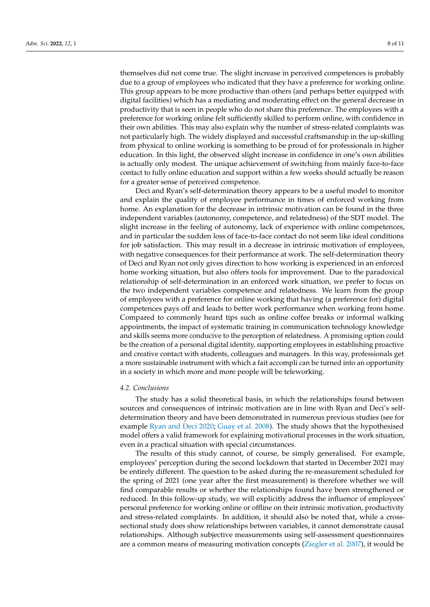themselves did not come true. The slight increase in perceived competences is probably due to a group of employees who indicated that they have a preference for working online. This group appears to be more productive than others (and perhaps better equipped with digital facilities) which has a mediating and moderating effect on the general decrease in productivity that is seen in people who do not share this preference. The employees with a preference for working online felt sufficiently skilled to perform online, with confidence in their own abilities. This may also explain why the number of stress-related complaints was not particularly high. The widely displayed and successful craftsmanship in the up-skilling from physical to online working is something to be proud of for professionals in higher education. In this light, the observed slight increase in confidence in one's own abilities is actually only modest. The unique achievement of switching from mainly face-to-face contact to fully online education and support within a few weeks should actually be reason for a greater sense of perceived competence.

Deci and Ryan's self-determination theory appears to be a useful model to monitor and explain the quality of employee performance in times of enforced working from home. An explanation for the decrease in intrinsic motivation can be found in the three independent variables (autonomy, competence, and relatedness) of the SDT model. The slight increase in the feeling of autonomy, lack of experience with online competences, and in particular the sudden loss of face-to-face contact do not seem like ideal conditions for job satisfaction. This may result in a decrease in intrinsic motivation of employees, with negative consequences for their performance at work. The self-determination theory of Deci and Ryan not only gives direction to how working is experienced in an enforced home working situation, but also offers tools for improvement. Due to the paradoxical relationship of self-determination in an enforced work situation, we prefer to focus on the two independent variables competence and relatedness. We learn from the group of employees with a preference for online working that having (a preference for) digital competences pays off and leads to better work performance when working from home. Compared to commonly heard tips such as online coffee breaks or informal walking appointments, the impact of systematic training in communication technology knowledge and skills seems more conducive to the perception of relatedness. A promising option could be the creation of a personal digital identity, supporting employees in establishing proactive and creative contact with students, colleagues and managers. In this way, professionals get a more sustainable instrument with which a fait accompli can be turned into an opportunity in a society in which more and more people will be teleworking.

### *4.2. Conclusions*

The study has a solid theoretical basis, in which the relationships found between sources and consequences of intrinsic motivation are in line with Ryan and Deci's selfdetermination theory and have been demonstrated in numerous previous studies (see for example [Ryan and Deci](#page-9-6) [2020;](#page-9-6) [Guay et al.](#page-9-17) [2008\)](#page-9-17). The study shows that the hypothesised model offers a valid framework for explaining motivational processes in the work situation, even in a practical situation with special circumstances.

The results of this study cannot, of course, be simply generalised. For example, employees' perception during the second lockdown that started in December 2021 may be entirely different. The question to be asked during the re-measurement scheduled for the spring of 2021 (one year after the first measurement) is therefore whether we will find comparable results or whether the relationships found have been strengthened or reduced. In this follow-up study, we will explicitly address the influence of employees' personal preference for working online or offline on their intrinsic motivation, productivity and stress-related complaints. In addition, it should also be noted that, while a crosssectional study does show relationships between variables, it cannot demonstrate causal relationships. Although subjective measurements using self-assessment questionnaires are a common means of measuring motivation concepts [\(Ziegler et al.](#page-10-4) [2007\)](#page-10-4), it would be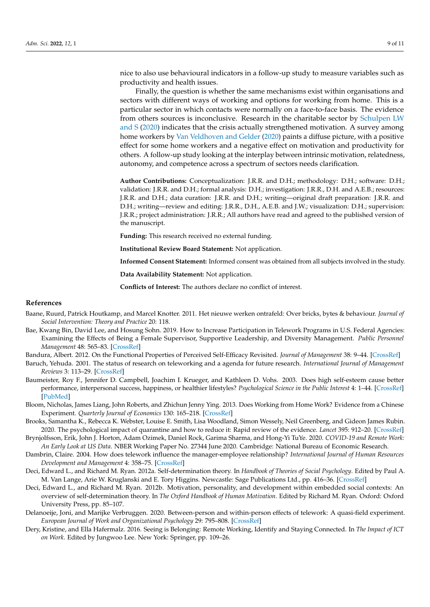nice to also use behavioural indicators in a follow-up study to measure variables such as productivity and health issues.

Finally, the question is whether the same mechanisms exist within organisations and sectors with different ways of working and options for working from home. This is a particular sector in which contacts were normally on a face-to-face basis. The evidence from others sources is inconclusive. Research in the charitable sector by [Schulpen LW](#page-9-27) [and S](#page-9-27) [\(2020\)](#page-9-27) indicates that the crisis actually strengthened motivation. A survey among home workers by [Van Veldhoven and Gelder](#page-10-5) [\(2020\)](#page-10-5) paints a diffuse picture, with a positive effect for some home workers and a negative effect on motivation and productivity for others. A follow-up study looking at the interplay between intrinsic motivation, relatedness, autonomy, and competence across a spectrum of sectors needs clarification.

**Author Contributions:** Conceptualization: J.R.R. and D.H.; methodology: D.H.; software: D.H.; validation: J.R.R. and D.H.; formal analysis: D.H.; investigation: J.R.R., D.H. and A.E.B.; resources: J.R.R. and D.H.; data curation: J.R.R. and D.H.; writing—original draft preparation: J.R.R. and D.H.; writing—review and editing: J.R.R., D.H., A.E.B. and J.W.; visualization: D.H.; supervision: J.R.R.; project administration: J.R.R.; All authors have read and agreed to the published version of the manuscript.

**Funding:** This research received no external funding.

**Institutional Review Board Statement:** Not application.

**Informed Consent Statement:** Informed consent was obtained from all subjects involved in the study.

**Data Availability Statement:** Not application.

**Conflicts of Interest:** The authors declare no conflict of interest.

## **References**

- <span id="page-8-0"></span>Baane, Ruurd, Patrick Houtkamp, and Marcel Knotter. 2011. Het nieuwe werken ontrafeld: Over bricks, bytes & behaviour. *Journal of Social Intervention: Theory and Practice* 20: 118.
- <span id="page-8-1"></span>Bae, Kwang Bin, David Lee, and Hosung Sohn. 2019. How to Increase Participation in Telework Programs in U.S. Federal Agencies: Examining the Effects of Being a Female Supervisor, Supportive Leadership, and Diversity Management. *Public Personnel Management* 48: 565–83. [\[CrossRef\]](http://doi.org/10.1177/0091026019832920)
- <span id="page-8-10"></span>Bandura, Albert. 2012. On the Functional Properties of Perceived Self-Efficacy Revisited. *Journal of Management* 38: 9–44. [\[CrossRef\]](http://doi.org/10.1177/0149206311410606)
- <span id="page-8-3"></span>Baruch, Yehuda. 2001. The status of research on teleworking and a agenda for future research. *International Journal of Management Reviews* 3: 113–29. [\[CrossRef\]](http://doi.org/10.1111/1468-2370.00058)
- <span id="page-8-11"></span>Baumeister, Roy F., Jennifer D. Campbell, Joachim I. Krueger, and Kathleen D. Vohs. 2003. Does high self-esteem cause better performance, interpersonal success, happiness, or healthier lifestyles? *Psychological Science in the Public Interest* 4: 1–44. [\[CrossRef\]](http://doi.org/10.1111/1529-1006.01431) [\[PubMed\]](http://www.ncbi.nlm.nih.gov/pubmed/26151640)
- <span id="page-8-2"></span>Bloom, Nicholas, James Liang, John Roberts, and Zhichun Jenny Ying. 2013. Does Working from Home Work? Evidence from a Chinese Experiment. *Quarterly Journal of Economics* 130: 165–218. [\[CrossRef\]](http://doi.org/10.1093/qje/qju032)
- <span id="page-8-12"></span>Brooks, Samantha K., Rebecca K. Webster, Louise E. Smith, Lisa Woodland, Simon Wessely, Neil Greenberg, and Gideon James Rubin. 2020. The psychological impact of quarantine and how to reduce it: Rapid review of the evidence. *Lancet* 395: 912–20. [\[CrossRef\]](http://doi.org/10.1016/S0140-6736(20)30460-8)
- <span id="page-8-6"></span>Brynjolfsson, Erik, John J. Horton, Adam Ozimek, Daniel Rock, Garima Sharma, and Hong-Yi TuYe. 2020. *COVID-19 and Remote Work: An Early Look at US Data*. NBER Working Paper No. 27344 June 2020. Cambridge: National Bureau of Economic Research.
- <span id="page-8-9"></span>Dambrin, Claire. 2004. How does telework influence the manager-employee relationship? *International Journal of Human Resources Development and Management* 4: 358–75. [\[CrossRef\]](http://doi.org/10.1504/IJHRDM.2004.005044)
- <span id="page-8-4"></span>Deci, Edward L., and Richard M. Ryan. 2012a. Self-determination theory. In *Handbook of Theories of Social Psychology*. Edited by Paul A. M. Van Lange, Arie W. Kruglanski and E. Tory Higgins. Newcastle: Sage Publications Ltd., pp. 416–36. [\[CrossRef\]](http://doi.org/10.4135/9781446249215.n21)
- <span id="page-8-8"></span>Deci, Edward L., and Richard M. Ryan. 2012b. Motivation, personality, and development within embedded social contexts: An overview of self-determination theory. In *The Oxford Handbook of Human Motivation*. Edited by Richard M. Ryan. Oxford: Oxford University Press, pp. 85–107.
- <span id="page-8-7"></span>Delanoeije, Joni, and Marijke Verbruggen. 2020. Between-person and within-person effects of telework: A quasi-field experiment. *European Journal of Work and Organizational Psychology* 29: 795–808. [\[CrossRef\]](http://doi.org/10.1080/1359432X.2020.1774557)
- <span id="page-8-5"></span>Dery, Kristine, and Ella Hafermalz. 2016. Seeing is Belonging: Remote Working, Identify and Staying Connected. In *The Impact of ICT on Work*. Edited by Jungwoo Lee. New York: Springer, pp. 109–26.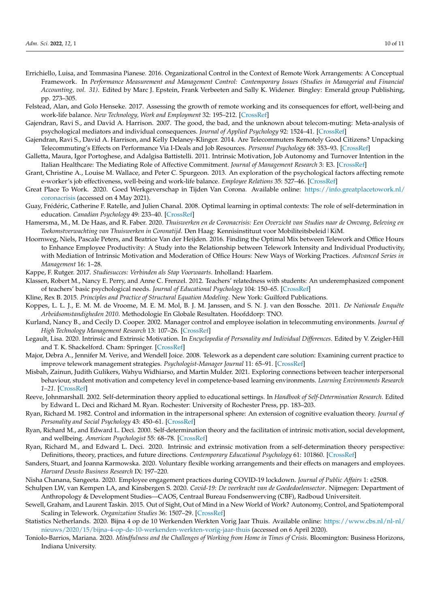- <span id="page-9-15"></span>Errichiello, Luisa, and Tommasina Pianese. 2016. Organizational Control in the Context of Remote Work Arrangements: A Conceptual Framework. In *Performance Measurement and Management Control: Contemporary Issues (Studies in Managerial and Financial Accounting, vol. 31)*. Edited by Marc J. Epstein, Frank Verbeeten and Sally K. Widener. Bingley: Emerald group Publishing, pp. 273–305.
- <span id="page-9-26"></span>Felstead, Alan, and Golo Henseke. 2017. Assessing the growth of remote working and its consequences for effort, well-being and work-life balance. *New Technology, Work and Employment* 32: 195–212. [\[CrossRef\]](http://doi.org/10.1111/ntwe.12097)
- <span id="page-9-13"></span>Gajendran, Ravi S., and David A. Harrison. 2007. The good, the bad, and the unknown about telecom-muting: Meta-analysis of psychological mediators and individual consequences. *Journal of Applied Psychology* 92: 1524–41. [\[CrossRef\]](http://doi.org/10.1037/0021-9010.92.6.1524)
- <span id="page-9-4"></span>Gajendran, Ravi S., David A. Harrison, and Kelly Delaney-Klinger. 2014. Are Telecommuters Remotely Good Citizens? Unpacking Telecommuting's Effects on Performance Via I-Deals and Job Resources. *Personnel Psychology* 68: 353–93. [\[CrossRef\]](http://doi.org/10.1111/peps.12082)
- <span id="page-9-8"></span>Galletta, Maura, Igor Portoghese, and Adalgisa Battistelli. 2011. Intrinsic Motivation, Job Autonomy and Turnover Intention in the Italian Healthcare: The Mediating Role of Affective Commitment. *Journal of Management Research* 3: E3. [\[CrossRef\]](http://doi.org/10.5296/jmr.v3i2.619)
- <span id="page-9-18"></span>Grant, Christine A., Louise M. Wallace, and Peter C. Spurgeon. 2013. An exploration of the psychological factors affecting remote e-worker's job effectiveness, well-being and work-life balance. *Employee Relations* 35: 527–46. [\[CrossRef\]](http://doi.org/10.1108/ER-08-2012-0059)
- <span id="page-9-25"></span>Great Place To Work. 2020. Goed Werkgeverschap in Tijden Van Corona. Available online: [https://info.greatplacetowork.nl/](https://info.greatplacetowork.nl/coronacrisis) [coronacrisis](https://info.greatplacetowork.nl/coronacrisis) (accessed on 4 May 2021).
- <span id="page-9-17"></span>Guay, Frédéric, Catherine F. Ratelle, and Julien Chanal. 2008. Optimal learning in optimal contexts: The role of self-determination in education. *Canadian Psychology* 49: 233–40. [\[CrossRef\]](http://doi.org/10.1037/a0012758)
- <span id="page-9-11"></span>Hamersma, M., M. De Haas, and R. Faber. 2020. *Thuiswerken en de Coronacrisis: Een Overzicht van Studies naar de Omvang, Beleving en Toekomstverwachting van Thuiswerken in Coronatijd*. Den Haag: Kennisinstituut voor Mobiliteitsbeleid|KiM.
- <span id="page-9-10"></span>Hoornweg, Niels, Pascale Peters, and Beatrice Van der Heijden. 2016. Finding the Optimal Mix between Telework and Office Hours to Enhance Employee Productivity: A Study into the Relationship between Telework Intensity and Individual Productivity, with Mediation of Intrinsic Motivation and Moderation of Office Hours: New Ways of Working Practices. *Advanced Series in Management* 16: 1–28.
- <span id="page-9-22"></span>Kappe, F. Rutger. 2017. *Studiesucces: Verbinden als Stap Voorwaarts*. Inholland: Haarlem.
- <span id="page-9-9"></span>Klassen, Robert M., Nancy E. Perry, and Anne C. Frenzel. 2012. Teachers' relatedness with students: An underemphasized component of teachers' basic psychological needs. *Journal of Educational Psychology* 104: 150–65. [\[CrossRef\]](http://doi.org/10.1037/a0026253)
- <span id="page-9-21"></span>Kline, Rex B. 2015. *Principles and Practice of Structural Equation Modeling*. New York: Guilford Publications.
- <span id="page-9-1"></span>Koppes, L. L. J., E. M. M. de Vroome, M. E. M. Mol, B. J. M. Janssen, and S. N. J. van den Bossche. 2011. *De Nationale Enquête Arbeidsomstandigheden 2010*. Methodologie En Globale Resultaten. Hoofddorp: TNO.
- <span id="page-9-12"></span>Kurland, Nancy B., and Cecily D. Cooper. 2002. Manager control and employee isolation in telecommuting environments. *Journal of High Technology Management Research* 13: 107–26. [\[CrossRef\]](http://doi.org/10.1016/S1047-8310(01)00051-7)
- <span id="page-9-7"></span>Legault, Lisa. 2020. Intrinsic and Extrinsic Motivation. In *Encyclopedia of Personality and Individual Differences*. Edited by V. Zeigler-Hill and T. K. Shackelford. Cham: Springer. [\[CrossRef\]](http://doi.org/10.1007/978-3-319-24612-3_1139)
- <span id="page-9-3"></span>Major, Debra A., Jennifer M. Verive, and Wendell Joice. 2008. Telework as a dependent care solution: Examining current practice to improve telework management strategies. *Psychologist-Manager Journal* 11: 65–91. [\[CrossRef\]](http://doi.org/10.1080/10887150801967134)
- <span id="page-9-19"></span>Misbah, Zainun, Judith Gulikers, Wahyu Widhiarso, and Martin Mulder. 2021. Exploring connections between teacher interpersonal behaviour, student motivation and competency level in competence-based learning environments. *Learning Environments Research 1–21*. [\[CrossRef\]](http://doi.org/10.1007/s10984-021-09395-6)
- <span id="page-9-16"></span>Reeve, Johnmarshall. 2002. Self-determination theory applied to educational settings. In *Handbook of Self-Determination Research*. Edited by Edward L. Deci and Richard M. Ryan. Rochester: University of Rochester Press, pp. 183–203.
- <span id="page-9-20"></span>Ryan, Richard M. 1982. Control and information in the intrapersonal sphere: An extension of cognitive evaluation theory. *Journal of Personality and Social Psychology* 43: 450–61. [\[CrossRef\]](http://doi.org/10.1037/0022-3514.43.3.450)
- <span id="page-9-5"></span>Ryan, Richard M., and Edward L. Deci. 2000. Self-determination theory and the facilitation of intrinsic motivation, social development, and wellbeing. *American Psychologist* 55: 68–78. [\[CrossRef\]](http://doi.org/10.1037/0003-066X.55.1.68)
- <span id="page-9-6"></span>Ryan, Richard M., and Edward L. Deci. 2020. Intrinsic and extrinsic motivation from a self-determination theory perspective: Definitions, theory, practices, and future directions. *Contemporary Educational Psychology* 61: 101860. [\[CrossRef\]](http://doi.org/10.1016/j.cedpsych.2020.101860)
- <span id="page-9-2"></span>Sanders, Stuart, and Joanna Karmowska. 2020. Voluntary flexible working arrangements and their effects on managers and employees. *Harvard Deusto Business Research* IX: 197–220.
- <span id="page-9-27"></span><span id="page-9-23"></span>Nisha Chanana, Sangeeta. 2020. Employee engagement practices during COVID-19 lockdown. *Journal of Public Affairs* 1: e2508.
- Schulpen LW, van Kempen LA, and Kinsbergen S. 2020. *Covid-19: De veerkracht van de Goededoelensector*. Nijmegen: Department of Anthropology & Development Studies—CAOS, Centraal Bureau Fondsenwerving (CBF), Radboud Universiteit.
- <span id="page-9-14"></span>Sewell, Graham, and Laurent Taskin. 2015. Out of Sight, Out of Mind in a New World of Work? Autonomy, Control, and Spatiotemporal Scaling in Telework. *Organization Studies* 36: 1507–29. [\[CrossRef\]](http://doi.org/10.1177/0170840615593587)
- <span id="page-9-0"></span>Statistics Netherlands. 2020. Bijna 4 op de 10 Werkenden Werkten Vorig Jaar Thuis. Available online: [https://www.cbs.nl/nl-nl/](https://www.cbs.nl/nl-nl/nieuws/2020/15/bijna-4-op-de-10-werkenden-werkten-vorig-jaar-thuis) [nieuws/2020/15/bijna-4-op-de-10-werkenden-werkten-vorig-jaar-thuis](https://www.cbs.nl/nl-nl/nieuws/2020/15/bijna-4-op-de-10-werkenden-werkten-vorig-jaar-thuis) (accessed on 6 April 2020).
- <span id="page-9-24"></span>Toniolo-Barrios, Mariana. 2020. *Mindfulness and the Challenges of Working from Home in Times of Crisis*. Bloomington: Business Horizons, Indiana University.